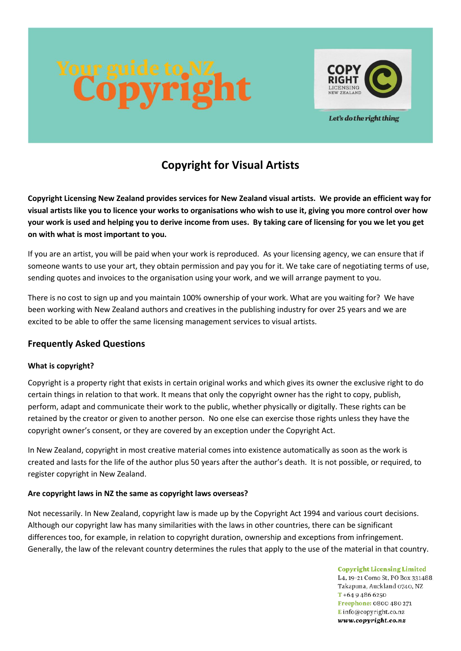

Let's do the right thing

# **Copyright for Visual Artists**

**Copyright Licensing New Zealand provides services for New Zealand visual artists. We provide an efficient way for visual artists like you to licence your works to organisations who wish to use it, giving you more control over how your work is used and helping you to derive income from uses. By taking care of licensing for you we let you get on with what is most important to you.**

If you are an artist, you will be paid when your work is reproduced. As your licensing agency, we can ensure that if someone wants to use your art, they obtain permission and pay you for it. We take care of negotiating terms of use, sending quotes and invoices to the organisation using your work, and we will arrange payment to you.

There is no cost to sign up and you maintain 100% ownership of your work. What are you waiting for? We have been working with New Zealand authors and creatives in the publishing industry for over 25 years and we are excited to be able to offer the same licensing management services to visual artists.

# **Frequently Asked Questions**

# **What is copyright?**

Copyright is a property right that exists in certain original works and which gives its owner the exclusive right to do certain things in relation to that work. It means that only the copyright owner has the right to copy, publish, perform, adapt and communicate their work to the public, whether physically or digitally. These rights can be retained by the creator or given to another person. No one else can exercise those rights unless they have the copyright owner's consent, or they are covered by an exception under the Copyright Act.

In New Zealand, copyright in most creative material comes into existence automatically as soon as the work is created and lasts for the life of the author plus 50 years after the author's death. It is not possible, or required, to register copyright in New Zealand.

# **Are copyright laws in NZ the same as copyright laws overseas?**

Not necessarily. In New Zealand, copyright law is made up by the Copyright Act 1994 and various court decisions. Although our copyright law has many similarities with the laws in other countries, there can be significant differences too, for example, in relation to copyright duration, ownership and exceptions from infringement. Generally, the law of the relevant country determines the rules that apply to the use of the material in that country.

> **Copyright Licensing Limited** L4, 19-21 Como St, PO Box 331488. Takapuna, Auckland 0740, NZ  $T + 6494866250$ Freephone: 0800 480 271 Einfo@copyright.co.nz www.copyright.co.nz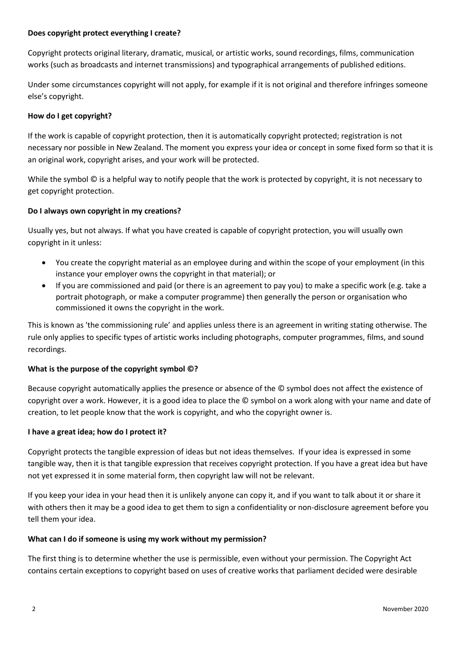### **Does copyright protect everything I create?**

Copyright protects original literary, dramatic, musical, or artistic works, sound recordings, films, communication works (such as broadcasts and internet transmissions) and typographical arrangements of published editions.

Under some circumstances copyright will not apply, for example if it is not original and therefore infringes someone else's copyright.

# **How do I get copyright?**

If the work is capable of copyright protection, then it is automatically copyright protected; registration is not necessary nor possible in New Zealand. The moment you express your idea or concept in some fixed form so that it is an original work, copyright arises, and your work will be protected.

While the symbol  $\odot$  is a helpful way to notify people that the work is protected by copyright, it is not necessary to get copyright protection.

### **Do I always own copyright in my creations?**

Usually yes, but not always. If what you have created is capable of copyright protection, you will usually own copyright in it unless:

- You create the copyright material as an employee during and within the scope of your employment (in this instance your employer owns the copyright in that material); or
- If you are commissioned and paid (or there is an agreement to pay you) to make a specific work (e.g. take a portrait photograph, or make a computer programme) then generally the person or organisation who commissioned it owns the copyright in the work.

This is known as 'the commissioning rule' and applies unless there is an agreement in writing stating otherwise. The rule only applies to specific types of artistic works including photographs, computer programmes, films, and sound recordings.

#### **What is the purpose of the copyright symbol ©?**

Because copyright automatically applies the presence or absence of the © symbol does not affect the existence of copyright over a work. However, it is a good idea to place the © symbol on a work along with your name and date of creation, to let people know that the work is copyright, and who the copyright owner is.

#### **I have a great idea; how do I protect it?**

Copyright protects the tangible expression of ideas but not ideas themselves. If your idea is expressed in some tangible way, then it is that tangible expression that receives copyright protection. If you have a great idea but have not yet expressed it in some material form, then copyright law will not be relevant.

If you keep your idea in your head then it is unlikely anyone can copy it, and if you want to talk about it or share it with others then it may be a good idea to get them to sign a confidentiality or non-disclosure agreement before you tell them your idea.

#### **What can I do if someone is using my work without my permission?**

The first thing is to determine whether the use is permissible, even without your permission. The Copyright Act contains certain exceptions to copyright based on uses of creative works that parliament decided were desirable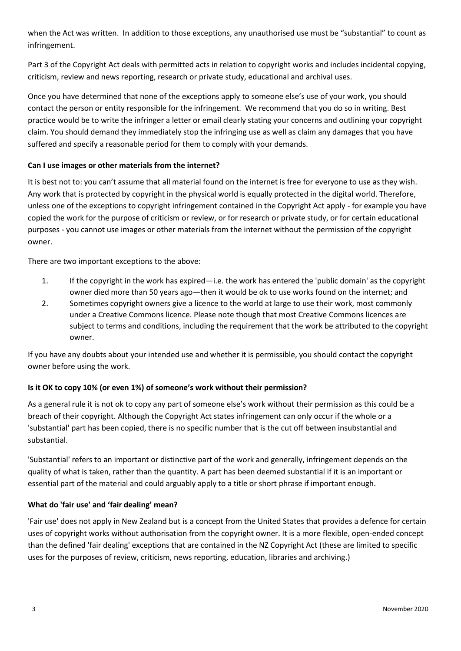when the Act was written. In addition to those exceptions, any unauthorised use must be "substantial" to count as infringement.

Part 3 of the Copyright Act deals with permitted acts in relation to copyright works and includes incidental copying, criticism, review and news reporting, research or private study, educational and archival uses.

Once you have determined that none of the exceptions apply to someone else's use of your work, you should contact the person or entity responsible for the infringement. We recommend that you do so in writing. Best practice would be to write the infringer a letter or email clearly stating your concerns and outlining your copyright claim. You should demand they immediately stop the infringing use as well as claim any damages that you have suffered and specify a reasonable period for them to comply with your demands.

# **Can I use images or other materials from the internet?**

It is best not to: you can't assume that all material found on the internet is free for everyone to use as they wish. Any work that is protected by copyright in the physical world is equally protected in the digital world. Therefore, unless one of the exceptions to copyright infringement contained in the Copyright Act apply - for example you have copied the work for the purpose of criticism or review, or for research or private study, or for certain educational purposes - you cannot use images or other materials from the internet without the permission of the copyright owner.

There are two important exceptions to the above:

- 1. If the copyright in the work has expired—i.e. the work has entered the 'public domain' as the copyright owner died more than 50 years ago—then it would be ok to use works found on the internet; and
- 2. Sometimes copyright owners give a licence to the world at large to use their work, most commonly under a Creative Commons licence. Please note though that most Creative Commons licences are subject to terms and conditions, including the requirement that the work be attributed to the copyright owner.

If you have any doubts about your intended use and whether it is permissible, you should contact the copyright owner before using the work.

# **Is it OK to copy 10% (or even 1%) of someone's work without their permission?**

As a general rule it is not ok to copy any part of someone else's work without their permission as this could be a breach of their copyright. Although the Copyright Act states infringement can only occur if the whole or a 'substantial' part has been copied, there is no specific number that is the cut off between insubstantial and substantial.

'Substantial' refers to an important or distinctive part of the work and generally, infringement depends on the quality of what is taken, rather than the quantity. A part has been deemed substantial if it is an important or essential part of the material and could arguably apply to a title or short phrase if important enough.

# **What do 'fair use' and 'fair dealing' mean?**

'Fair use' does not apply in New Zealand but is a concept from the United States that provides a defence for certain uses of copyright works without authorisation from the copyright owner. It is a more flexible, open-ended concept than the defined 'fair dealing' exceptions that are contained in the NZ Copyright Act (these are limited to specific uses for the purposes of review, criticism, news reporting, education, libraries and archiving.)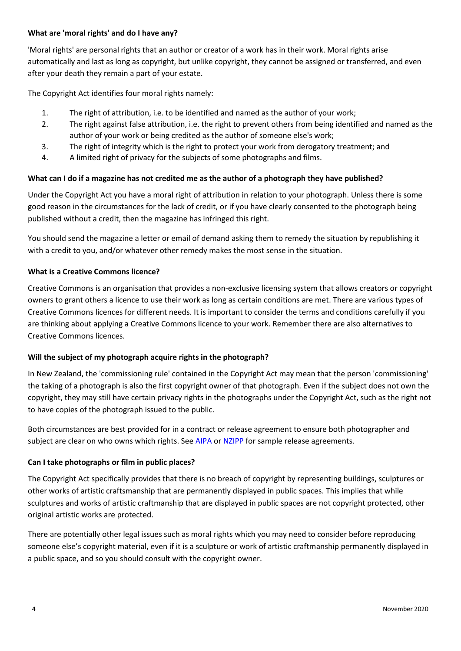# **What are 'moral rights' and do I have any?**

'Moral rights' are personal rights that an author or creator of a work has in their work. Moral rights arise automatically and last as long as copyright, but unlike copyright, they cannot be assigned or transferred, and even after your death they remain a part of your estate.

The Copyright Act identifies four moral rights namely:

- 1. The right of attribution, i.e. to be identified and named as the author of your work;
- 2. The right against false attribution, i.e. the right to prevent others from being identified and named as the author of your work or being credited as the author of someone else's work;
- 3. The right of integrity which is the right to protect your work from derogatory treatment; and
- 4. A limited right of privacy for the subjects of some photographs and films.

# **What can I do if a magazine has not credited me as the author of a photograph they have published?**

Under the Copyright Act you have a moral right of attribution in relation to your photograph. Unless there is some good reason in the circumstances for the lack of credit, or if you have clearly consented to the photograph being published without a credit, then the magazine has infringed this right.

You should send the magazine a letter or email of demand asking them to remedy the situation by republishing it with a credit to you, and/or whatever other remedy makes the most sense in the situation.

# **What is a Creative Commons licence?**

Creative Commons is an organisation that provides a non-exclusive licensing system that allows creators or copyright owners to grant others a licence to use their work as long as certain conditions are met. There are various types of Creative Commons licences for different needs. It is important to consider the terms and conditions carefully if you are thinking about applying a Creative Commons licence to your work. Remember there are also alternatives to Creative Commons licences.

# **Will the subject of my photograph acquire rights in the photograph?**

In New Zealand, the 'commissioning rule' contained in the Copyright Act may mean that the person 'commissioning' the taking of a photograph is also the first copyright owner of that photograph. Even if the subject does not own the copyright, they may still have certain privacy rights in the photographs under the Copyright Act, such as the right not to have copies of the photograph issued to the public.

Both circumstances are best provided for in a contract or release agreement to ensure both photographer and subject are clear on who owns which rights. See [AIPA](https://aipa.online/) or [NZIPP](https://www.nzipp.org.nz/) for sample release agreements.

# **Can I take photographs or film in public places?**

The Copyright Act specifically provides that there is no breach of copyright by representing buildings, sculptures or other works of artistic craftsmanship that are permanently displayed in public spaces. This implies that while sculptures and works of artistic craftmanship that are displayed in public spaces are not copyright protected, other original artistic works are protected.

There are potentially other legal issues such as moral rights which you may need to consider before reproducing someone else's copyright material, even if it is a sculpture or work of artistic craftmanship permanently displayed in a public space, and so you should consult with the copyright owner.